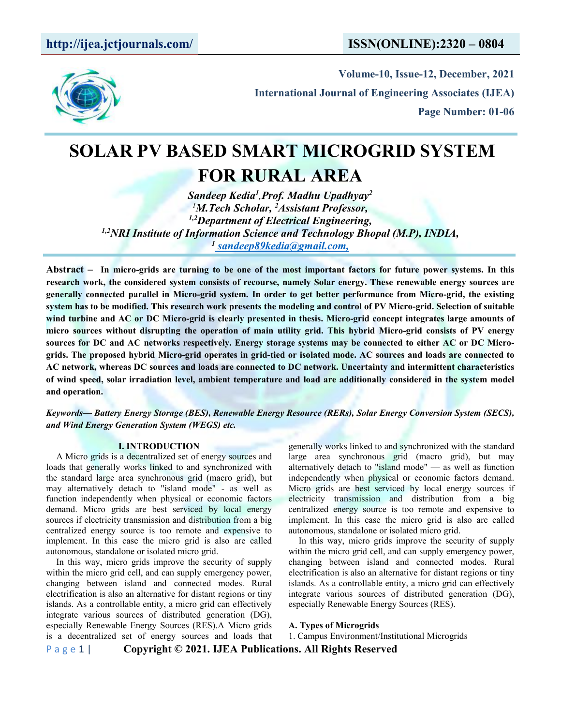

**Volume-10, Issue-12, December, 2021 International Journal of Engineering Associates (IJEA) Page Number: 01-06**

# **SOLAR PV BASED SMART MICROGRID SYSTEM FOR RURAL AREA**

*Sandeep Kedia 1 ,Prof. Madhu Upadhyay 2 <sup>1</sup>M.Tech Scholar, <sup>2</sup>Assistant Professor, 1,2Department of Electrical Engineering, 1,2NRI Institute of [Information](https://en.wikipedia.org/wiki/File:Microgrid_with_RES_BESS_GRIDconnected.png) Science and Technology Bhopal (M.P), INDIA, <sup>1</sup> [sandeep89kedia@gmail.com,](mailto:gadekarpreeti@gmail.com,)*

Abstract – In micro-grids are turning to be one of the most important factors for future power systems. In this research work, the considered system consists of recourse, namely Solar energy. These renewable energy sources are generally connected parallel in Micro-grid system. In order to get better performance from Micro-grid, the existing system has to be modified. This research work presents the modeling and control of PV Micro-grid. Selection of suitable wind turbine and AC or DC Micro-grid is clearly presented in thesis. Micro-grid concept integrates large amounts of micro sources without disrupting the operation of main utility grid. This hybrid Micro-grid consists of PV energy sources for DC and AC networks respectively. Energy storage systems may be connected to either AC or DC Microgrids. The proposed hybrid Micro-grid operates in grid-tied or isolated mode. AC sources and loads are connected to **AC network, whereas DC sources and loads are connected toDC network. Uncertainty and intermittent characteristics** of wind speed, solar irradiation level, ambient temperature and load are additionally considered in the system model **and operation.**

*Keywords— Battery Energy Storage (BES), Renewable Energy Resource (RERs), Solar Energy Conversion System (SECS), and Wind Energy Generation System (WEGS) etc.*

## **I. INTRODUCTION**

A Micro grids is a decentralized set of energy sources and loads that generally works linked to and synchronized with the standard large area synchronous grid (macro grid), but may alternatively detach to "island mode" - as well as function independently when physical or economic factors demand. Micro grids are best serviced by local energy sources if electricity transmission and distribution from a big centralized energy source is too remote and expensive to autonomous, standalone or isolated micro grid. implement. In this case the micro grid is also are called

autonomous, standalone or isolated micro grid.<br>In this way, micro grids improve the security of supply within the micro grid cell, and can supply emergency power, changing between island and connected modes. Rural electrification is also an alternative for distant regions or tiny islands. As a controllable entity, a micro grid can effectively integrate various sources of distributed generation (DG), especially Renewable Energy Sources (RES).A Micro grids is a decentralized set of energy sources and loads that

generally works linked to and synchronized with the standard large area synchronous grid (macro grid), but may alternatively detach to "island mode" — as well as function independently when physical or economic factors demand. Micro grids are best serviced by local energy sources if electricity transmission and distribution from a big centralized energy source is too remote and expensive to implement. In this case the micro grid is also are called

In this way, micro grids improve the security of supply within the micro grid cell, and can supply emergency power, changing between island and connected modes. Rural electrification is also an alternative for distant regions or tiny islands. As a controllable entity, a micro grid can effectively integrate various sources of distributed generation (DG), especially Renewable Energy Sources (RES).

**A. Types of Microgrids**

1. Campus Environment/Institutional Microgrids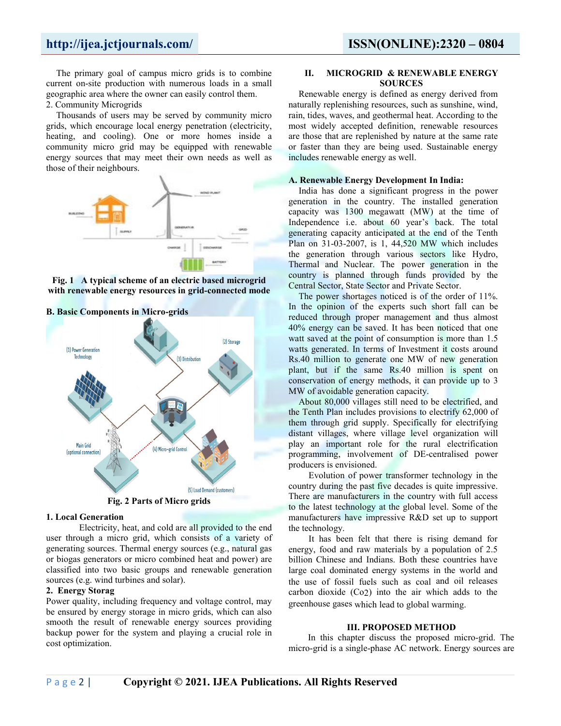The primary goal of campus micro grids is to combine **II.** current on-site production with numerous loads in a small geographic area where the owner can easily control them.

2. Community Microgrids

Thousands of users may be served by community micro grids, which encourage local energy penetration (electricity, heating, and cooling). One or more homes inside a community micro grid may be equipped with renewable energy sources that may meet their own needs as well as those of their neighbours.



**Fig. 1 A typical scheme of an electric based microgrid with [renewable](https://en.wikipedia.org/wiki/Renewable_energy) energy resources in grid-connected mode**



## **B. Basic Components in Micro-grids**

**Fig.** 2 Parts of Micro grids

## **1. Local Generation**

Electricity, heat, and cold are all provided to the end user through a micro grid, which consists of a variety of generating sources. Thermal energy sources (e.g., natural gas or biogas generators or micro combined heat and power) are classified into two basic groups and renewable generation sources (e.g. wind turbines and solar).

## **2. Energy Storag**

Power quality, including frequency and voltage control, may be ensured by energy storage in micro grids, which can also smooth the result of renewable energy sources providing backup power for the system and playing a crucial role in cost optimization.

## **II. MICROGRID & RENEWABLE ENERGY SOURCES**

Renewable energy is defined as energy derived from naturally replenishing resources, such as sunshine, wind, rain, tides, waves, and geothermal heat. According to the most widely accepted definition, renewable resources are those that are replenished by nature at the same rate or faster than they are being used. Sustainable energy includes renewable energy as well.

## **A. Renewable Energy Development In India:**

India has done a significant progress in the power generation in the country. The installed generation capacity was 1300 megawatt (MW) at the time of Independence i.e. about 60 year's back. The total generating capacity anticipated at the end of the Tenth Plan on 31-03-2007, is 1, 44,520 MW which includes the generation through various sectors like Hydro, Thermal and Nuclear. The power generation in the country is planned through funds provided by the Central Sector, State Sector and Private Sector.

The power shortages noticed is of the order of 11%. In the opinion of the experts such short fall can be reduced through proper management and thus almost 40% energy can be saved. It has been noticed that one watt saved at the point of consumption is more than 1.5 watts generated. In terms of Investment it costs around Rs.40 million to generate one MW of new generation plant, but if the same Rs.40 million is spent on conservation of energy methods, it can provide up to 3 MW of avoidable generation capacity.

About 80,000 villages still need to be electrified, and the Tenth Plan includes provisions to electrify 62,000 of them through grid supply. Specifically for electrifying distant villages, where village level organization will play an important role for the rural electrification programming, involvement of DE-centralised power producers is envisioned.

Evolution of power transformer technology in the country during the past five decades is quite impressive. There are manufacturers in the country with full access to the latest technology at the global level. Some of the manufacturers have impressive R&D set up to support the technology.

It has been felt that there is rising demand for energy, food and raw materials by a population of 2.5 billion Chinese and Indians. Both these countries have large coal dominated energy systems in the world and the use of fossil fuels such as coal and oil releases carbon dioxide (Co2) into the air which adds to the greenhouse gases which lead to global warming.

## **III. PROPOSED METHOD**

In this chapter discuss the proposed micro-grid. The micro-grid is a single-phase AC network. Energy sources are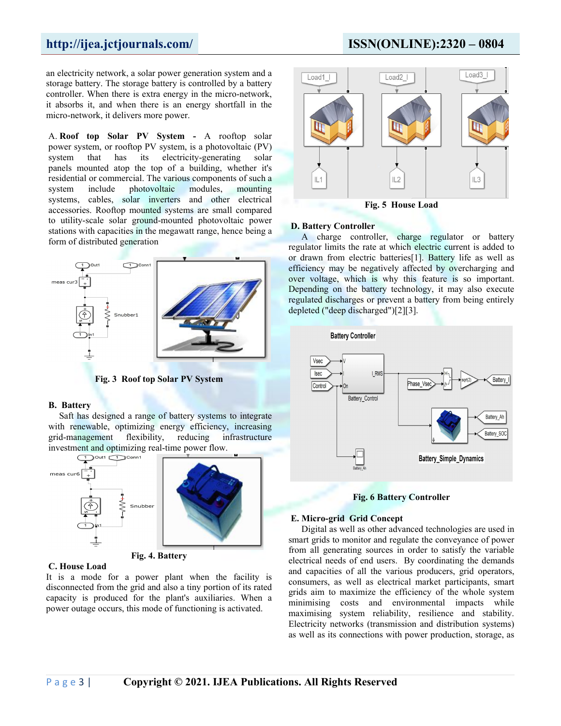an electricity network, a solar power generation system and a storage battery. The storage battery is controlled by a battery controller. When there is extra energy in the micro-network, it absorbs it, and when there is an energy shortfall in the micro-network, it delivers more power.

A. **Roof top Solar PV System -** A rooftop solar power system, or rooftop PV system, is a [photovoltaic](https://en.wikipedia.org/wiki/Photovoltaic_system) (PV) system that has its [electricity](https://en.wikipedia.org/wiki/Electricity)-generating [solar](https://en.wikipedia.org/wiki/Solar_panel) panels mounted atop the top of a building, whether it's residential or commercial. The various components of such a system include [photovoltaic](https://en.wikipedia.org/wiki/Solar_panel) modules, [mounting](https://en.wikipedia.org/wiki/Photovoltaic_mounting_system) systems, [cables](https://en.wikipedia.org/wiki/Solar_cable), solar [inverters](https://en.wikipedia.org/wiki/Solar_inverter) and other electrical accessories. Rooftop mounted systems are small compared to [utility-scale](https://en.wikipedia.org/wiki/Utility-scale_solar) solar [ground-mounted](https://en.wikipedia.org/wiki/File:Microgrid_with_RES_BESS_GRIDconnected.png) [photovoltaic](https://en.wikipedia.org/wiki/Photovoltaic_power_station) power stations with capacities in the [megawatt](https://en.wikipedia.org/wiki/Megawatt) range, hence being a form of [distributed](https://en.wikipedia.org/wiki/Distributed_generation) generation



**Fig. 3 Roof top Solar PV System**

### **B. Battery**

Saft has designed a range of battery systems to integrate with renewable, optimizing energy efficiency, increasing grid-management flexibility, reducing infrastructure investment and optimizing real-time power flow.



**Fig. 4. Battery**

## **C. House Load**

It is a mode for a power plant when the facility is disconnected from the grid and also a tiny portion of its rated capacity is produced for the plant's auxiliaries. When a power outage occurs, this mode of functioning is activated.

## **http://ijea.jctjournals.com/ ISSN(ONLINE):2320 – 0804**



**Fig. 5 House Load**

## **D. Battery Controller**

A charge controller, charge regulator or battery regulator limits the rate at which [electric](https://en.wikipedia.org/wiki/Electric_current) current is added to or drawn from electric [batteries](https://en.wikipedia.org/wiki/Battery_(electricity))[\[1\]](https://en.wikipedia.org/wiki/Charge_controller). Battery life as well as efficiency may be negatively affected by overcharging and over voltage, which is why this feature is so important.<br>Depending on the battery technology, it may also execute regulated discharges or prevent a battery from being entirely depleted ("deep discharged")[2][3].



**Fig. 6 Battery Controller**

### **E. Micro-grid Grid Concept**

Digital as well as other advanced technologies are used in smart grids to monitor and regulate the conveyance of power from all generating sources in order to satisfy the variable electrical needs of end users. By coordinating the demands and capacities of all the various producers, grid operators, consumers, as well as electrical market participants, smart grids aim to maximize the efficiency of the whole system minimising costs and environmental impacts while maximising system reliability, resilience and stability. Electricity networks (transmission and distribution systems) as well as its connections with power production, storage, as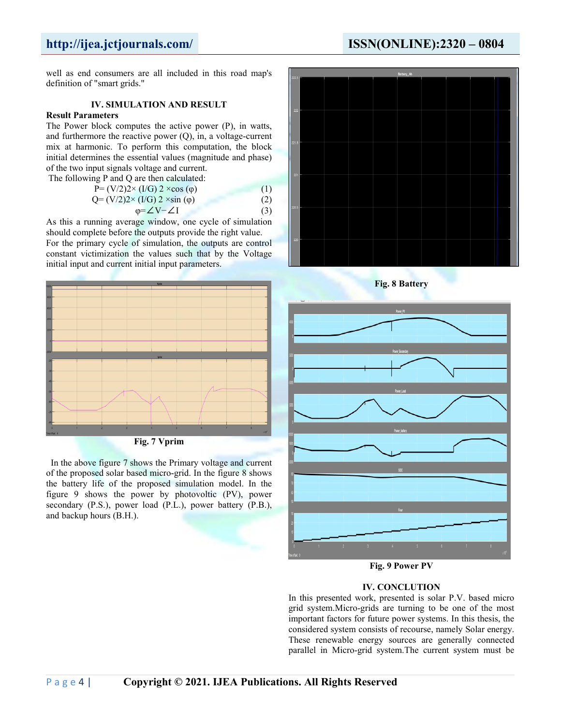## **http://ijea.jctjournals.com/ ISSN(ONLINE):2320 – 0804**

well as end consumers are all included in this road map's definition of "smart grids."

## **IV. SIMULATION AND RESULT**

## **Result Parameters**

The Power block computes the active power (P), in watts, and furthermore the reactive power (Q), in, a voltage-current mix at harmonic. To perform this computation, the block initial determines the essential values (magnitude and phase) of the two input signals voltage and current.

The following P and O are then calculated:

| $mg_1$ and $Q$ are then calculated.             |  |
|-------------------------------------------------|--|
| $P = (V/2)2 \times (I/G) 2 \times cos(\varphi)$ |  |
| Q= $(V/2)2 \times (I/G) 2 \times sin(\varphi)$  |  |
|                                                 |  |

$$
\varphi = \angle V - \angle I \tag{3}
$$

As this a running average window, one cycle of simulation should complete before the outputs provide the right value.

For the primary cycle of simulation, the outputs are control constant [victimization](https://en.wikipedia.org/wiki/File:Microgrid_with_RES_BESS_GRIDconnected.png) the values such that by the Voltage initial input and current initial input parameters.



**Fig. 7 Vprim**

In the above figure 7 shows the Primary voltage and current of the proposed solar based micro-grid. In the figure 8 shows the battery life of the proposed simulation model. In the figure 9 shows the power by photovoltic (PV), power secondary (P.S.), power load (P.L.), power battery (P.B.), and backup hours (B.H.).





**Fig. 9 Power PV**

## **IV. CONCLUTION**

In this presented work, presented is solar P.V. based micro grid system.Micro-grids are turning to be one of the most important factors for future power systems. In this thesis, the considered system consists of recourse, namely Solar energy. These renewable energy sources are generally connected parallel in Micro-grid system.The current system must be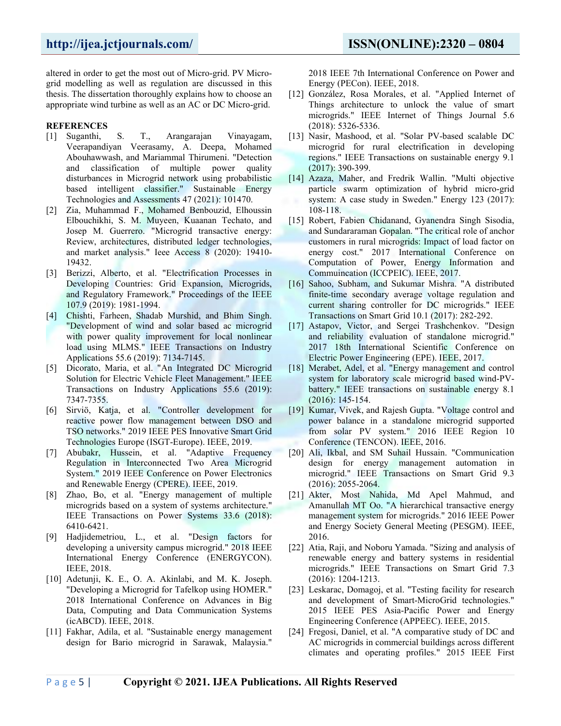altered in order to get the most out of Micro-grid. PV Micro grid modelling as well as regulation are discussed in this thesis. The dissertation thoroughly explains how to choose an appropriate wind turbine as well as an AC or DC Micro-grid.

## **REFERENCES**

- [1] Suganthi, S. T., Arangarajan Vinayagam, Veerapandiyan Veerasamy, A. Deepa, Mohamed Abouhawwash, and Mariammal Thirumeni. "Detection and classification of multiple power quality disturbances in Microgrid network using probabilistic based intelligent classifier." Sustainable Energy [Technologies](https://en.wikipedia.org/wiki/File:Microgrid_with_RES_BESS_GRIDconnected.png) and Assessments 47 (2021): 101470.
- [2] Zia, Muhammad F., Mohamed Benbouzid, Elhoussin Elbouchikhi, S. M. Muyeen, Kuaanan Techato, and Josep M. Guerrero. "Microgrid transactive energy: Review, architectures, distributed ledger technologies, and market analysis." Ieee Access 8 (2020): 19410- 19432.
- [3] Berizzi, Alberto, et al. "Electrification Processes in Developing Countries: Grid Expansion, Microgrids, and Regulatory Framework." Proceedings of the IEEE 107.9 (2019): 1981-1994.
- [4] Chishti, Farheen, Shadab Murshid, and Bhim Singh. "Development of wind and solar based ac microgrid with power quality improvement for local nonlinear load using MLMS." IEEE Transactions on Industry Applications 55.6 (2019): 7134-7145.
- [5] Dicorato, Maria, et al. "An Integrated DC Microgrid Solution for Electric Vehicle Fleet Management." IEEE Transactions on Industry Applications 55.6 (2019): 7347-7355.
- [6] Sirviö, Katja, et al. "Controller development for reactive power flow management between DSO and TSO networks." 2019 IEEE PES Innovative Smart Grid Technologies Europe (ISGT-Europe). IEEE, 2019.
- [7] Abubakr, Hussein, et al. "Adaptive Frequency Regulation in Interconnected Two Area Microgrid System." 2019 IEEE Conference on Power Electronics and Renewable Energy (CPERE). IEEE, 2019.
- [8] Zhao, Bo, et al. "Energy management of multiple microgrids based on a system of systems architecture." IEEE Transactions on Power Systems 33.6 (2018): 6410-6421.
- [9] Hadjidemetriou, L., et al. "Design factors for developing a university campus microgrid." 2018 IEEE International Energy Conference (ENERGYCON). IEEE, 2018.
- [10] Adetunji, K. E., O. A. Akinlabi, and M. K. Joseph. "Developing a Microgrid for Tafelkop using HOMER." 2018 International Conference on Advances in Big Data, Computing and Data Communication Systems (icABCD). IEEE, 2018.
- [11] Fakhar, Adila, et al. "Sustainable energy management design for Bario microgrid in Sarawak, Malaysia."

2018 IEEE 7th International Conference on Power and Energy (PECon). IEEE, 2018.

- [12] González, Rosa Morales, et al. "Applied Internet of Things architecture to unlock the value of smart microgrids." IEEE Internet of Things Journal 5.6 (2018): 5326-5336.
- [13] Nasir, Mashood, et al. "Solar PV-based scalable DC microgrid for rural electrification in developing regions." IEEE Transactions on sustainable energy 9.1 (2017): 390-399.
- [14] Azaza, Maher, and Fredrik Wallin. "Multi objective particle swarm optimization of hybrid micro-grid system: A case study in Sweden." Energy 123 (2017): 108-118.
- [15] Robert, Fabien Chidanand, Gyanendra Singh Sisodia, and Sundararaman Gopalan. "The critical role of anchor customers in rural microgrids: Impact of load factor on energy cost." 2017 International Conference on Computation of Power, Energy Information and Commuincation (ICCPEIC). IEEE, 2017.
- [16] Sahoo, Subham, and Sukumar Mishra. "A distributed finite-time secondary average voltage regulation and current sharing controller for DC microgrids." IEEE Transactions on Smart Grid 10.1 (2017): 282-292.
- [17] Astapov, Victor, and Sergei Trashchenkov. "Design and reliability evaluation of standalone microgrid." 2017 18th International Scientific Conference on Electric Power Engineering (EPE). IEEE, 2017.
- [18] Merabet, Adel, et al. "Energy management and control system for laboratory scale microgrid based wind-PV battery." IEEE transactions on sustainable energy 8.1 (2016): 145-154.
- [19] Kumar, Vivek, and Rajesh Gupta. "Voltage control and power balance in a standalone microgrid supported from solar PV system." 2016 IEEE Region 10 Conference (TENCON). IEEE, 2016.
- [20] Ali, Ikbal, and SM Suhail Hussain. "Communication design for energy management automation in microgrid." IEEE Transactions on Smart Grid 9.3 (2016): 2055-2064.
- [21] Akter, Most Nahida, Md Apel Mahmud, and Amanullah MT Oo. "A hierarchical transactive energy management system for microgrids." 2016 IEEE Power and Energy Society General Meeting (PESGM). IEEE, 2016.
- [22] Atia, Raji, and Noboru Yamada. "Sizing and analysis of renewable energy and battery systems in residential microgrids." IEEE Transactions on Smart Grid 7.3 (2016): 1204-1213.
- [23] Leskarac, Domagoj, et al. "Testing facility for research and development of Smart-MicroGrid technologies." 2015 IEEE PES Asia-Pacific Power and Energy Engineering Conference (APPEEC). IEEE, 2015.
- [24] Fregosi, Daniel, et al. "A comparative study of DC and AC microgrids in commercial buildings across different climates and operating profiles." 2015 IEEE First